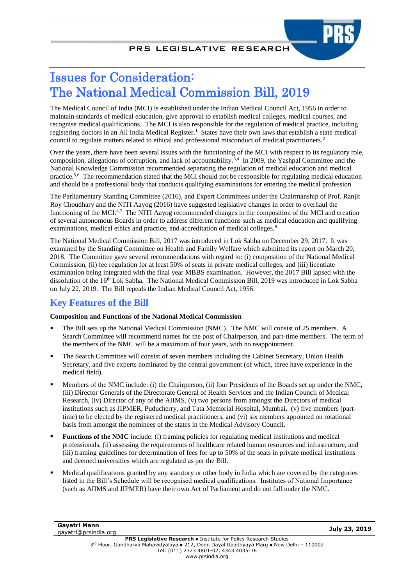# Issues for Consideration: The National Medical Commission Bill, 2019

The Medical Council of India (MCI) is established under the Indian Medical Council Act, 1956 in order to maintain standards of medical education, give approval to establish medical colleges, medical courses, and recognise medical qualifications. The MCI is also responsible for the regulation of medical practice, including registering doctors in an All India Medical Register.<sup>1</sup> States have their own laws that establish a state medical council to regulate matters related to ethical and professional misconduct of medical practitioners.<sup>2</sup>

<span id="page-0-4"></span><span id="page-0-1"></span><span id="page-0-0"></span>Over the years, there have been several issues with the functioning of the MCI with respect to its regulatory role, composition, allegations of corruption, and lack of accountability.3,4 In 2009, the Yashpal Committee and the National Knowledge Commission recommended separating the regulation of medical education and medical practice.<sup>5,6</sup> The recommendation stated that the MCI should not be responsible for regulating medical education and should be a professional body that conducts qualifying examinations for entering the medical profession.

<span id="page-0-2"></span>The Parliamentary Standing Committee (2016), and Expert Committees under the Chairmanship of Prof. Ranjit Roy Choudhary and the NITI Aayog (2016) have suggested legislative changes in order to overhaul the functioning of the MCI. $4.7$  The NITI Aayog recommended changes in the composition of the MCI and creation of several autonomous Boards in order to address different functions such as medical education and qualifying examinations, medical ethics and practice, and accreditation of medical colleges.<sup>8</sup>

<span id="page-0-3"></span>The National Medical Commission Bill, 2017 was introduced in Lok Sabha on December 29, 2017. It was examined by the Standing Committee on Health and Family Welfare which submitted its report on March 20, 2018. The Committee gave several recommendations with regard to: (i) composition of the National Medical Commission, (ii) fee regulation for at least 50% of seats in private medical colleges, and (iii) licentiate examination being integrated with the final year MBBS examination. However, the 2017 Bill lapsed with the dissolution of the 16th Lok Sabha. The National Medical Commission Bill, 2019 was introduced in Lok Sabha on July 22, 2019. The Bill repeals the Indian Medical Council Act, 1956.

# **Key Features of the Bill**

#### **Composition and Functions of the National Medical Commission**

- The Bill sets up the National Medical Commission (NMC). The NMC will consist of 25 members. A Search Committee will recommend names for the post of Chairperson, and part-time members. The term of the members of the NMC will be a maximum of four years, with no reappointment.
- The Search Committee will consist of seven members including the Cabinet Secretary, Union Health Secretary, and five experts nominated by the central government (of which, three have experience in the medical field).
- Members of the NMC include: (i) the Chairperson, (ii) four Presidents of the Boards set up under the NMC, (iii) Director Generals of the Directorate General of Health Services and the Indian Council of Medical Research, (iv) Director of any of the AIIMS, (v) two persons from amongst the Directors of medical institutions such as JIPMER, Puducherry, and Tata Memorial Hospital, Mumbai, (v) five members (parttime) to be elected by the registered medical practitioners, and (vi) six members appointed on rotational basis from amongst the nominees of the states in the Medical Advisory Council.
- **Functions of the NMC** include: (i) framing policies for regulating medical institutions and medical professionals, (ii) assessing the requirements of healthcare related human resources and infrastructure, and (iii) framing guidelines for determination of fees for up to 50% of the seats in private medical institutions and deemed universities which are regulated as per the Bill.
- Medical qualifications granted by any statutory or other body in India which are covered by the categories listed in the Bill's Schedule will be recognised medical qualifications. Institutes of National Importance (such as AIIMS and JIPMER) have their own Act of Parliament and do not fall under the NMC.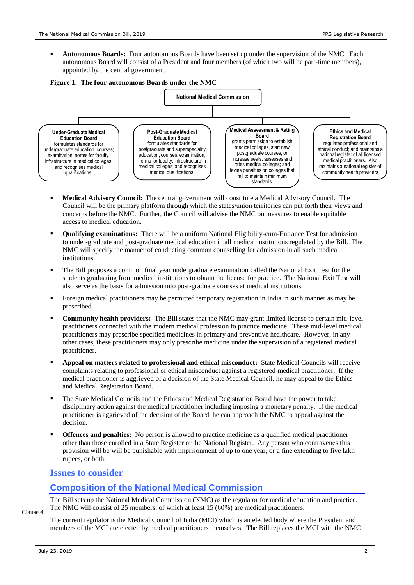**Autonomous Boards:** Four autonomous Boards have been set up under the supervision of the NMC. Each autonomous Board will consist of a President and four members (of which two will be part-time members), appointed by the central government.

#### **Figure 1: The four autonomous Boards under the NMC**



- **Medical Advisory Council:** The central government will constitute a Medical Advisory Council. The Council will be the primary platform through which the states/union territories can put forth their views and concerns before the NMC. Further, the Council will advise the NMC on measures to enable equitable access to medical education.
- **Qualifying examinations:** There will be a uniform National Eligibility-cum-Entrance Test for admission to under-graduate and post-graduate medical education in all medical institutions regulated by the Bill. The NMC will specify the manner of conducting common counselling for admission in all such medical institutions.
- The Bill proposes a common final year undergraduate examination called the National Exit Test for the students graduating from medical institutions to obtain the license for practice. The National Exit Test will also serve as the basis for admission into post-graduate courses at medical institutions.
- Foreign medical practitioners may be permitted temporary registration in India in such manner as may be prescribed.
- **Community health providers:** The Bill states that the NMC may grant limited license to certain mid-level practitioners connected with the modern medical profession to practice medicine. These mid-level medical practitioners may prescribe specified medicines in primary and preventive healthcare. However, in any other cases, these practitioners may only prescribe medicine under the supervision of a registered medical practitioner.
- **Appeal on matters related to professional and ethical misconduct:** State Medical Councils will receive complaints relating to professional or ethical misconduct against a registered medical practitioner. If the medical practitioner is aggrieved of a decision of the State Medical Council, he may appeal to the Ethics and Medical Registration Board.
- The State Medical Councils and the Ethics and Medical Registration Board have the power to take disciplinary action against the medical practitioner including imposing a monetary penalty. If the medical practitioner is aggrieved of the decision of the Board, he can approach the NMC to appeal against the decision.
- **Offences and penalties:** No person is allowed to practice medicine as a qualified medical practitioner other than those enrolled in a State Register or the National Register. Any person who contravenes this provision will be will be punishable with imprisonment of up to one year, or a fine extending to five lakh rupees, or both.

### **Issues to consider**

### **Composition of the National Medical Commission**

The Bill sets up the National Medical Commission (NMC) as the regulator for medical education and practice. The NMC will consist of 25 members, of which at least 15 (60%) are medical practitioners.

Clause 4

The current regulator is the Medical Council of India (MCI) which is an elected body where the President and members of the MCI are elected by medical practitioners themselves. The Bill replaces the MCI with the NMC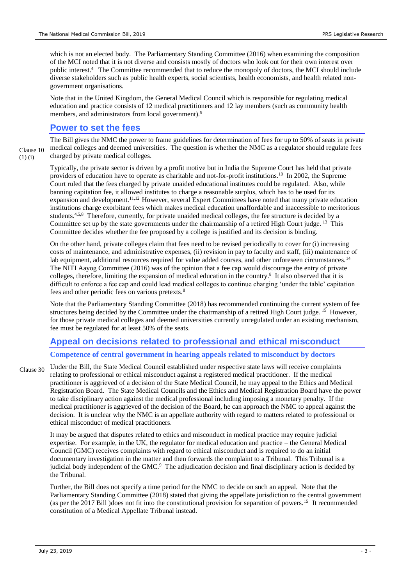which is not an elected body. The Parliamentary Standing Committee (2016) when examining the composition of the MCI noted that it is not diverse and consists mostly of doctors who look out for their own interest over public interest[.](#page-0-1)<sup>4</sup> The Committee recommended that to reduce the monopoly of doctors, the MCI should include diverse stakeholders such as public health experts, social scientists, health economists, and health related nongovernment organisations.

Note that in the United Kingdom, the General Medical Council which is responsible for regulating medical education and practice consists of 12 medical practitioners and 12 lay members (such as community health members, and administrators from local government).<sup>9</sup>

#### <span id="page-2-0"></span>**Power to set the fees**

(1) (i)

The Bill gives the NMC the power to frame guidelines for determination of fees for up to 50% of seats in private medical colleges and deemed universities. The question is whether the NMC as a regulator should regulate fees charged by private medical colleges. Clause 10

Typically, the private sector is driven by a profit motive but in India the Supreme Court has held that private providers of education have to operate as charitable and not-for-profit institutions.<sup>10</sup> In 2002, the Supreme Court ruled that the fees charged by private unaided educational institutes could be regulated. Also, while banning capitation fee, it allowed institutes to charge a reasonable surplus, which has to be used for its expansion and development.<sup>11,12</sup> However, several Expert Committees have noted that many private education institutions charge exorbitant fees which makes medical education unaffordable and inaccessible to meritorious students.<sup>[4,](#page-0-1)[5,](#page-0-2)[8](#page-0-3)</sup> Therefore, currently, for private unaided medical colleges, the fee structure is decided by a Committee set up by the state governments under the chairmanship of a retired High Court judge.<sup>13</sup> This Committee decides whether the fee proposed by a college is justified and its decision is binding.

On the other hand, private colleges claim that fees need to be revised periodically to cover for (i) increasing costs of maintenance, and administrative expenses, (ii) revision in pay to faculty and staff, (iii) maintenance of lab equipment, additional resources required for value added courses, and other unforeseen circumstances.<sup>14</sup> The NITI Aayog Committee (2016) was of the opinion that a fee cap would discourage the entry of private colleges,therefore, limiting the expansion of medical education in the country.<sup>8</sup> It also observed that it is difficult to enforce a fee cap and could lead medical colleges to continue charging 'under the table' capitation fees and other periodic fees on various pretexts.<sup>[8](#page-0-3)</sup>

<span id="page-2-1"></span>Note that the Parliamentary Standing Committee (2018) has recommended continuing the current system of fee structures being decided by the Committee under the chairmanship of a retired High Court judge.<sup>15</sup> However, for those private medical colleges and deemed universities currently unregulated under an existing mechanism, fee must be regulated for at least 50% of the seats.

## **Appeal on decisions related to professional and ethical misconduct**

#### **Competence of central government in hearing appeals related to misconduct by doctors**

Under the Bill, the State Medical Council established under respective state laws will receive complaints relating to professional or ethical misconduct against a registered medical practitioner. If the medical practitioner is aggrieved of a decision of the State Medical Council, he may appeal to the Ethics and Medical Registration Board. The State Medical Councils and the Ethics and Medical Registration Board have the power to take disciplinary action against the medical professional including imposing a monetary penalty. If the medical practitioner is aggrieved of the decision of the Board, he can approach the NMC to appeal against the decision. It is unclear why the NMC is an appellate authority with regard to matters related to professional or ethical misconduct of medical practitioners. Clause 30

It may be argued that disputes related to ethics and misconduct in medical practice may require judicial expertise. For example, in the UK, the regulator for medical education and practice – the General Medical Council (GMC) receives complaints with regard to ethical misconduct and is required to do an initial documentary investigation in the matter and then forwards the complaint to a Tribunal. This Tribunal is a judicialbody independent of the GMC.<sup>9</sup> The adjudication decision and final disciplinary action is decided by the Tribunal.

Further, the Bill does not specify a time period for the NMC to decide on such an appeal. Note that the Parliamentary Standing Committee (2018) stated that giving the appellate jurisdiction to the central government (as per the 2017 Bill )does not fit into the constitutional provision for separation of powers.[15](#page-2-1) It recommended constitution of a Medical Appellate Tribunal instead.